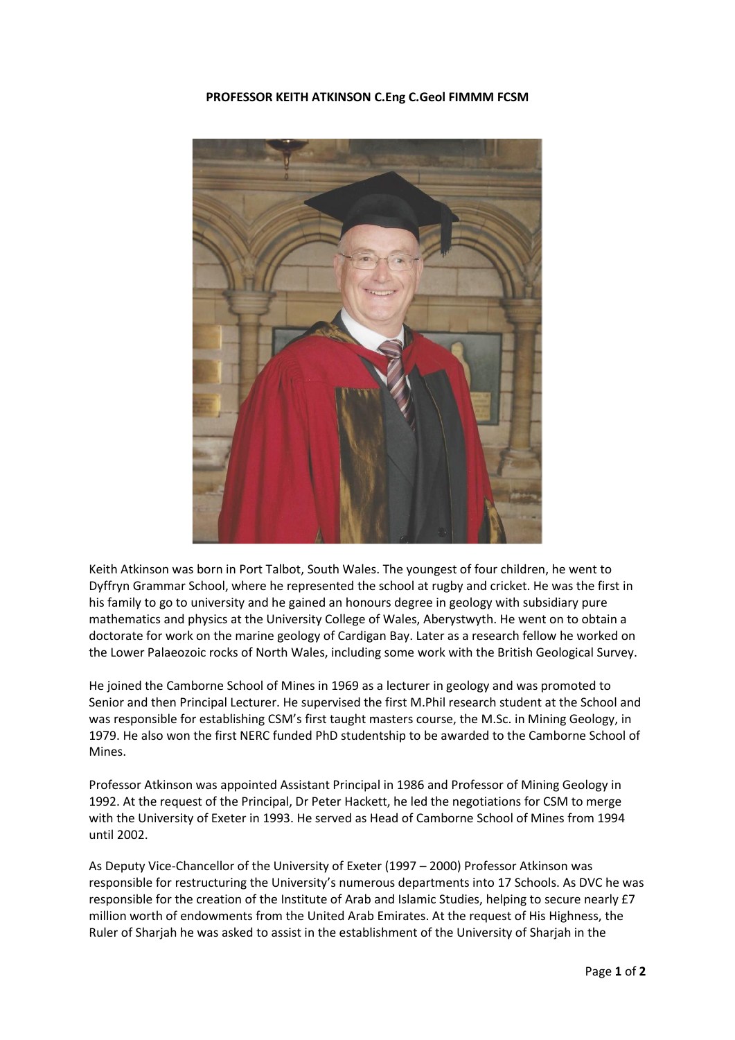## **PROFESSOR KEITH ATKINSON C.Eng C.Geol FIMMM FCSM**



Keith Atkinson was born in Port Talbot, South Wales. The youngest of four children, he went to Dyffryn Grammar School, where he represented the school at rugby and cricket. He was the first in his family to go to university and he gained an honours degree in geology with subsidiary pure mathematics and physics at the University College of Wales, Aberystwyth. He went on to obtain a doctorate for work on the marine geology of Cardigan Bay. Later as a research fellow he worked on the Lower Palaeozoic rocks of North Wales, including some work with the British Geological Survey.

He joined the Camborne School of Mines in 1969 as a lecturer in geology and was promoted to Senior and then Principal Lecturer. He supervised the first M.Phil research student at the School and was responsible for establishing CSM's first taught masters course, the M.Sc. in Mining Geology, in 1979. He also won the first NERC funded PhD studentship to be awarded to the Camborne School of Mines.

Professor Atkinson was appointed Assistant Principal in 1986 and Professor of Mining Geology in 1992. At the request of the Principal, Dr Peter Hackett, he led the negotiations for CSM to merge with the University of Exeter in 1993. He served as Head of Camborne School of Mines from 1994 until 2002.

As Deputy Vice-Chancellor of the University of Exeter (1997 – 2000) Professor Atkinson was responsible for restructuring the University's numerous departments into 17 Schools. As DVC he was responsible for the creation of the Institute of Arab and Islamic Studies, helping to secure nearly £7 million worth of endowments from the United Arab Emirates. At the request of His Highness, the Ruler of Sharjah he was asked to assist in the establishment of the University of Sharjah in the